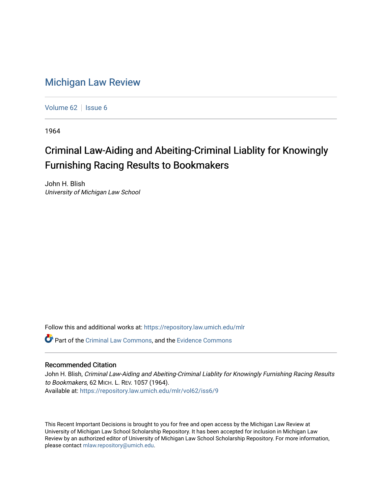## [Michigan Law Review](https://repository.law.umich.edu/mlr)

[Volume 62](https://repository.law.umich.edu/mlr/vol62) | [Issue 6](https://repository.law.umich.edu/mlr/vol62/iss6)

1964

## Criminal Law-Aiding and Abeiting-Criminal Liablity for Knowingly Furnishing Racing Results to Bookmakers

John H. Blish University of Michigan Law School

Follow this and additional works at: [https://repository.law.umich.edu/mlr](https://repository.law.umich.edu/mlr?utm_source=repository.law.umich.edu%2Fmlr%2Fvol62%2Fiss6%2F9&utm_medium=PDF&utm_campaign=PDFCoverPages) 

Part of the [Criminal Law Commons,](http://network.bepress.com/hgg/discipline/912?utm_source=repository.law.umich.edu%2Fmlr%2Fvol62%2Fiss6%2F9&utm_medium=PDF&utm_campaign=PDFCoverPages) and the [Evidence Commons](http://network.bepress.com/hgg/discipline/601?utm_source=repository.law.umich.edu%2Fmlr%2Fvol62%2Fiss6%2F9&utm_medium=PDF&utm_campaign=PDFCoverPages) 

## Recommended Citation

John H. Blish, Criminal Law-Aiding and Abeiting-Criminal Liablity for Knowingly Furnishing Racing Results to Bookmakers, 62 MICH. L. REV. 1057 (1964). Available at: [https://repository.law.umich.edu/mlr/vol62/iss6/9](https://repository.law.umich.edu/mlr/vol62/iss6/9?utm_source=repository.law.umich.edu%2Fmlr%2Fvol62%2Fiss6%2F9&utm_medium=PDF&utm_campaign=PDFCoverPages)

This Recent Important Decisions is brought to you for free and open access by the Michigan Law Review at University of Michigan Law School Scholarship Repository. It has been accepted for inclusion in Michigan Law Review by an authorized editor of University of Michigan Law School Scholarship Repository. For more information, please contact [mlaw.repository@umich.edu.](mailto:mlaw.repository@umich.edu)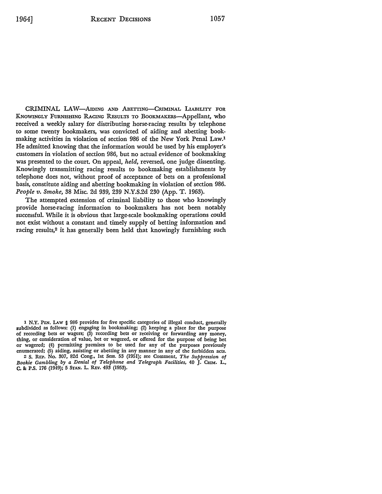CRIMINAL LAW-AIDING AND ABETTING-CRIMINAL LIABILITY FOR KNOWINGLY FURNISHING RACING RESULTS TO BOOKMAKERS-Appellant, who received a weekly salary for distributing horse-racing results by telephone to some twenty bookmakers, was convicted of aiding and abetting bookmaking activities in violation of section 986 of the New York Penal Law.1 He admitted knowing that the information would be used by his employer's customers in violation of section 986, but no actual evidence of bookmaking was presented to the court. On appeal, *held,* reversed, one judge dissenting. Knowingly transmitting racing results to bookmaking establishments by telephone does not, without proof of acceptance of bets on a professional basis, constitute aiding and abetting bookmaking in violation of section 986. *People v. Smoke,* 38 Misc. 2d 939, 239 N.Y.S.2d 230 (App. T. 1963).

The attempted extension of criminal liability to those who knowingly provide horse-racing information to bookmakers has not been notably successful. While it is obvious that large-scale bookmaking operations could not exist without a constant and timely supply of betting information and racing results,<sup>2</sup> it has generally been held that knowingly furnishing such

1 **N.Y.** PEN. LAw § 986 provides for five specific categories of illegal conduct, generally subdivided as follows: **(1)** engaging in bookmaking; (2) keeping a place for the purpose of recording bets or wagers; (3) recording bets or receiving or forwarding any money, thing, or consideration of value, bet or wagered, or offered for the purpose of being bet or wagered; (4) permitting premises to be used for any of the purposes previously enumerated; (5) aiding, assisting or abetting in any manner in any of the forbidden acts.

2 S. REP. No. 307, 82d Cong., 1st Sess. 53 (1951); see Comment, *The Suppression of Bookie Gambling by a Denial of Telephone and Telegraph Facilities,* 40 J. CRIM. L., C, & P.S. 176 (1949); 5 STAN. L. REv. 493 (1953).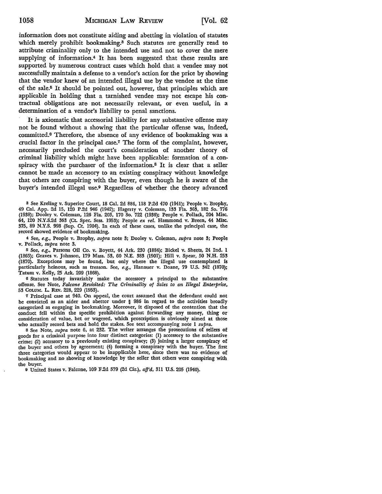information does not constitute aiding and abetting in violation of statutes which merely prohibit bookmaking.<sup>3</sup> Such statutes are generally read to attribute criminality only to the intended use and not to cover the mere supplying of information.4 It has been suggested that these results are supported by numerous contract cases which hold that a vendee may not successfully maintain a defense to a vendor's action for the price by showing that the vendor knew of an intended illegal use by the vendee at the time of the sale.5 It should be pointed out, however, that principles which are applicable in holding that a tarnished vendee may, not escape his contractual obligations are not necessarily relevant, or even useful, in a determination of a vendor's liability to penal sanctions.

It is axiomatic that accessorial liability for any substantive offense may not be found without a showing that the particular offense was, indeed, committed.6 Therefore, the absence of any evidence of bookmaking was a crucial factor in the principal case.7 The form of the complaint, however, necessarily precluded the court's consideration of another theory of criminal liability which might have been applicable: formation of a conspiracy with the purchaser of the information.8 It is clear that a seller cannot be made an accessory to an existing conspiracy without knowledge that others are conspiring with the buyer, even though he is aware of the buyer's intended illegal use.9 Regardless of whether the theory advanced

<sup>3</sup> See Kreling v. Superior Court, 18 Cal. 2d 884, 118 P.2d 470 (1941); People v. Brophy, 49 Cal. App. 2d 15, 120 P .2d 946 (1942); Hagerty v. Coleman, 133 Fla. 363, 182 So. 776 (1938); Dooley v. Coleman, 126 Fla. 203, 170 So. 722 (1936); People v. Pollack, 204 Misc. 64, 120 N.Y.S.2d 363 (Ct. Spec. Sess. 1953); People *ex rel.* Hammond v. Breen, 44 Misc. 375, 89 N.Y.S. 998 (Sup. Ct. 1904). In each of these cases, unlike the principal case, the record showed evidence of bookmaking.

4 See, *e.g.,* People v. Brophy, *supra* note 3; Dooley v. Coleman, *supra* note 3; People v. Pollack, *supra* note 3.

<sup>5</sup> See, *e.g.*, Parsons Oil Co. v. Boyett, 44 Ark. 230 (1884); Bickel v. Sheets, 24 Ind. 1 (1865); Graves v. Johnson, 179 Mass. 53, 60 N.E. 383 (1901); Hill v. Spear, 50 **N.H.** 253 (1870). Exceptions may be found, but only where the illegal use contemplated is particularly heinous, such as treason. See, *e.g.,* Hanauer v. Doane, 79 U.S. 342 (1870); Tatum v. Kelly, 25 Ark. 209 (1868).

6 Statutes today invariably make the accessory a principal to the substantive offense. See Note, *Falcone Revisited: The Criminality of Sales to an Illegal Enterprise,*  53 CoLUM. L. REv. 228, 229 (1953).

<sup>7</sup>Principal case at 940. On appeal, the court assumed that the defendant could not be convicted as an aider and abettor under § 986 in regard to the activities broadly categorized as engaging in bookmaking. Moreover, it disposed of the contention that the conduct fell within the specific prohibition against forwarding any money, thing or consideration of value, bet or wagered, which proscription is obviously aimed at those who actually record bets and hold the stakes. See text accompanying note 1 *supra.* 

s See Note, *supra* note 6, at 232. The writer arranges the prosecutions of sellers of goods for a criminal purpose into four distinct categories: (1) accessory to the substantive crime; (2) accessory to a previously existing conspiracy; (3) joining a larger conspiracy of the buyer and others by agreement; (4) forming a conspiracy with the buyer. The first three categories would appear to be inapplicable here, since there was no evidence of bookmaking and no showing of knowledge by the seller that others were conspiring with the buyer.

9 United States v. Falcone, 109 F.2d 579 (2d Cir.), *afj'd,* 311 U.S. 205 (1940).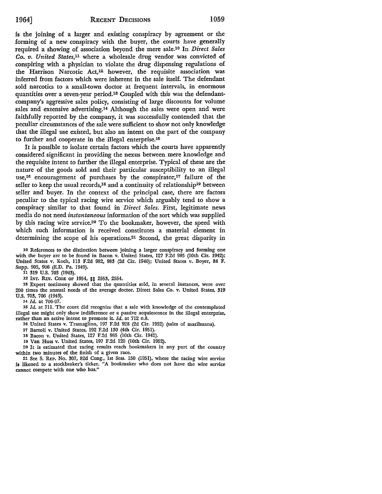is the joining of a larger and existing conspiracy by agreement or the forming of a new conspiracy with the buyer, the courts have generally required a showing of association beyond the mere sale.10 In *Direct Sales Co. v. United States,11* where a wholesale drug vendor was convicted of conspiring with a physician to violate the drug dispensing regulations of the Harrison Narcotic Act,<sup>12</sup> however, the requisite association was inferred from factors which were inherent in the sale itself. The defendant sold narcotics to a small-town doctor at frequent intervals, in enormous quantities over a seven-year period.13 Coupled with this was the defendantcompany's aggressive sales policy, consisting of large discounts for volume sales and extensive advertising.<sup>14</sup> Although the sales were open and were faithfully reported by the company, it was successfully contended that the peculiar circumstances of the sale were sufficient to show not only knowledge that the illegal use existed, but also an intent on the part of the company to further and cooperate in the illegal enterprise.<sup>15</sup>

It is possible to isolate certain factors which the courts have apparently considered significant in providing the nexus between mere knowledge and the requisite intent to further the illegal enterprise. Typical of these are the nature of the goods sold and their particular susceptibility to an illegal use,<sup>16</sup> encouragement of purchases by the conspirator,<sup>17</sup> failure of the seller to keep the usual records,<sup>18</sup> and a continuity of relationship<sup>19</sup> between seller and buyer. In the context of the principal case, there are factors peculiar to the typical racing wire service which arguably tend to show a conspiracy similar to that found in *Direct Sales.* First, legitimate news media do not need *instantaneous* information of the sort which was supplied by this racing wire service.20 To the bookmaker, however, the speed with which such information is received constitutes a material element in determining the scope of his operations.21 Second, the great disparity in

10 References to the distinction between joining a larger conspiracy and forming one with the buyer are to be found in Bacon v. United States, 127 F.2d 985 (10th Cir. 1942); United States v. Koch, ll3 F.2d 982, 983 (2d Cir. 1940); United States v. Boyer, 84 F. Supp. 905, 906 (E.D. Pa. 1949).

11 319 U.S. 703 (1943).

12 INT, R.Ev. CODE OF 1954, §§ 2553, 2554.

13 Expert testimony showed that the quantities sold, in several instances, were over 200 times the annual needs of the average doctor. Direct Sales Co. v. United States, 319 U.S. 703, 706 (1943).

<sup>14</sup>*Id.* at 706-07.

15 Id. at 711. The court did recognize that a sale with knowledge of the contemplated illegal use might only show indifference or a passive acquiescence in the illegal enterprise, rather than an active intent to promote it. *Id.* at 712 n.8.

16 United States v. Tramaglino, 197 F.2d 928 (2d Cir. 1952) (sales of marihuana).

17 Bartoli v. United States, 192 F.2d 130 (4th Cir. 1951).

18 Bacon v. United States, 127 F.2d 985 (10th Cir. 1942).

19 Van Huss v. United States, 197 F.2d 120 (10th Cir. 1952).

20 It is estimated that racing results reach bookmakers in any part of the country within two minutes of the finish of a given race.

21 See S. REP. No. 307, 82d Cong., 1st Sess. 150 (1951), where the racing wire service is likened to a stockbroker's ticker. "A bookmaker who does not have the wire service cannot compete with one who has."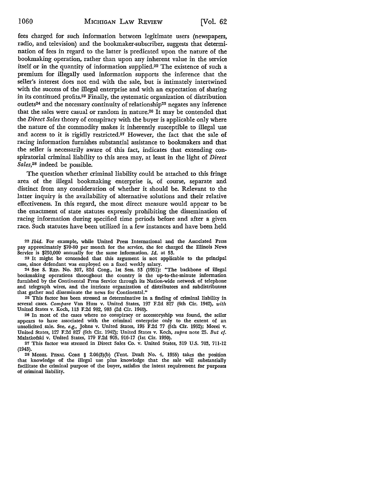fees charged for such information between legitimate users (newspapers, radio, and television) and the bookmaker-subscriber, suggests that determination of fees in regard to the latter is predicated upon the nature of the bookmaking operation, rather than upon any inherent value in the service itself or in the quantity of information supplied.22 The existence of such a premium for illegally used information supports the inference that the seller's interest does not end with the sale, but is intimately intertwined with the success of the illegal enterprise and with an expectation of sharing in its continued profits.23 Finally, the systematic organization of distribution outlets<sup>24</sup> and the necessary continuity of relationship<sup>25</sup> negates any inference that the sales were casual or random in nature.26 It may be contended that the *Direct Sales* theory of conspiracy with the buyer is applicable only where the nature of the commodity makes it inherently susceptible to illegal use and access to it is rigidly restricted.27 However, the fact that the sale of racing information furnishes substantial assistance to bookmakers and that the seller is necessarily aware of this fact, indicates that extending conspiratorial criminal liability to this area may, at least in the light of *Direct Sales,28* indeed be possible.

The question whether criminal liability could be attached to this fringe area of the illegal bookmaking enterprise is, of course, separate and distinct from any consideration of whether it should be. Relevant to the latter inquiry is the availability of alternative solutions and their relative effectiveness. In this regard, the most direct measure would appear to be the enactment of state statutes expressly prohibiting the dissemination of racing information during specified time periods before and after a given race. Such statutes have been utilized in a few instances and have been held

22 *Ibid.* For example, while United Press International and the Associated Press pay approximately \$70-80 per month for the service, the fee charged the Illinois **News**  Service is \$250,000 annually for the same information. *Id.* at 53.

23 It might be contended that this argument is not applicable to the principal case, since defendant was employed on a fixed weekly salary.

24 See S. REP. No. 307, 82d Cong., 1st Sess. 53 (1951): "The backbone of illegal bookmaking operations throughout the country is the up-to-the-minute information furnished by the Continental Press Service through its Nation-wide network of telephone and telegraph wires, and the intricate organization of distributors and subdistributors that gather and disseminate the news for Continental."

25 This factor has been stressed as determinative in a finding of criminal liability in several cases. *Compare* Van Huss v. United States, 197 F.2d 827 (6th Cir. 1942), *with*  United States v. Koch, 113 F.2d 982, 983 (2d Cir. 1940).

26 In most of the cases where no conspiracy or accessoryship was found, the seller appears to have associated with the criminal enterprise only to the extent of an unsolicited, sale. See, *e.g.,* Johns v. United States, 195 F.2d 77 (5th Cir. 1952); Morei v. United States, 127 F.2d 827 (6th Cir. 1942); United States v. Koch, *supra* note 25. *But cf.*  Malatkofski v. United States, 179 F.2d 905, 916-17 (1st Cir. 1950).

27 This factor was stressed in Direct Sales Co. v. United States, 319 U.S. 703, 711-12 (1943).

28 MODEL PENAL CODE § 2.06(3)(b) (Tent. Draft No. 4, 1955) takes the position that knowledge of the illegal use plus knowledge that the sale will substantially facilitate the criminal purpose of the buyer, satisfies the intent requirement for purposes of criminal liability.